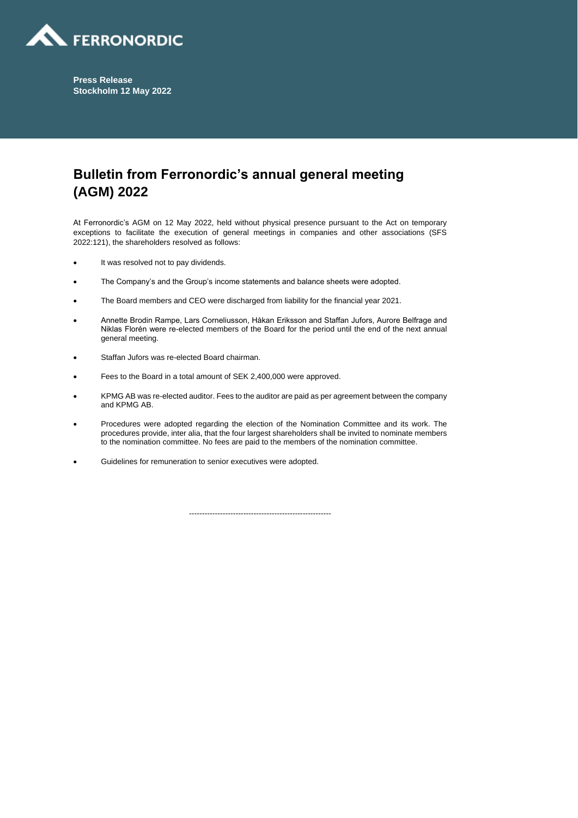

**Press Release Stockholm 12 May 2022**

## **Bulletin from Ferronordic's annual general meeting (AGM) 2022**

At Ferronordic's AGM on 12 May 2022, held without physical presence pursuant to the Act on temporary exceptions to facilitate the execution of general meetings in companies and other associations (SFS 2022:121), the shareholders resolved as follows:

- It was resolved not to pay dividends.
- The Company's and the Group's income statements and balance sheets were adopted.
- The Board members and CEO were discharged from liability for the financial year 2021.
- Annette Brodin Rampe, Lars Corneliusson, Håkan Eriksson and Staffan Jufors, Aurore Belfrage and Niklas Florén were re-elected members of the Board for the period until the end of the next annual general meeting.
- Staffan Jufors was re-elected Board chairman.
- Fees to the Board in a total amount of SEK 2,400,000 were approved.
- KPMG AB was re-elected auditor. Fees to the auditor are paid as per agreement between the company and KPMG AB.
- Procedures were adopted regarding the election of the Nomination Committee and its work. The procedures provide, inter alia, that the four largest shareholders shall be invited to nominate members to the nomination committee. No fees are paid to the members of the nomination committee.
- Guidelines for remuneration to senior executives were adopted.

-------------------------------------------------------